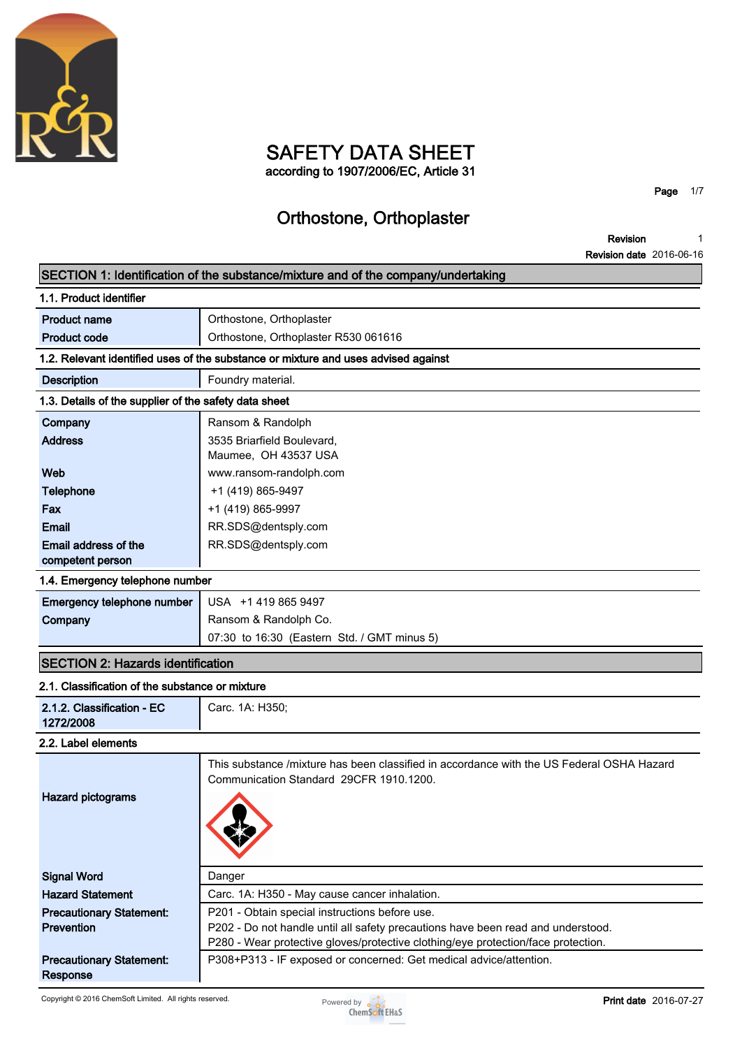

### **SAFETY DATA SHEET according to 1907/2006/EC, Article 31**

**Page 1/7**

## **Orthostone, Orthoplaster**

**Revision Revision date 2016-06-16 1**

| SECTION 1: Identification of the substance/mixture and of the company/undertaking |                                                                                           |  |  |  |
|-----------------------------------------------------------------------------------|-------------------------------------------------------------------------------------------|--|--|--|
| 1.1. Product identifier                                                           |                                                                                           |  |  |  |
| <b>Product name</b>                                                               | Orthostone, Orthoplaster                                                                  |  |  |  |
| <b>Product code</b>                                                               | Orthostone, Orthoplaster R530 061616                                                      |  |  |  |
|                                                                                   | 1.2. Relevant identified uses of the substance or mixture and uses advised against        |  |  |  |
| <b>Description</b>                                                                | Foundry material.                                                                         |  |  |  |
| 1.3. Details of the supplier of the safety data sheet                             |                                                                                           |  |  |  |
| Company                                                                           | Ransom & Randolph                                                                         |  |  |  |
| <b>Address</b>                                                                    | 3535 Briarfield Boulevard,                                                                |  |  |  |
|                                                                                   | Maumee, OH 43537 USA                                                                      |  |  |  |
| Web                                                                               | www.ransom-randolph.com                                                                   |  |  |  |
| Telephone                                                                         | +1 (419) 865-9497                                                                         |  |  |  |
| Fax                                                                               | +1 (419) 865-9997                                                                         |  |  |  |
| Email                                                                             | RR.SDS@dentsply.com                                                                       |  |  |  |
| Email address of the                                                              | RR.SDS@dentsply.com                                                                       |  |  |  |
| competent person                                                                  |                                                                                           |  |  |  |
| 1.4. Emergency telephone number                                                   |                                                                                           |  |  |  |
| Emergency telephone number                                                        | USA +1 419 865 9497                                                                       |  |  |  |
| Company                                                                           | Ransom & Randolph Co.                                                                     |  |  |  |
|                                                                                   | 07:30 to 16:30 (Eastern Std. / GMT minus 5)                                               |  |  |  |
| <b>SECTION 2: Hazards identification</b>                                          |                                                                                           |  |  |  |
| 2.1. Classification of the substance or mixture                                   |                                                                                           |  |  |  |
| 2.1.2. Classification - EC                                                        | Carc. 1A: H350;                                                                           |  |  |  |
| 1272/2008                                                                         |                                                                                           |  |  |  |
| 2.2. Label elements                                                               |                                                                                           |  |  |  |
|                                                                                   | This substance /mixture has been classified in accordance with the US Federal OSHA Hazard |  |  |  |
|                                                                                   | Communication Standard 29CFR 1910.1200.                                                   |  |  |  |
| <b>Hazard pictograms</b>                                                          |                                                                                           |  |  |  |
|                                                                                   |                                                                                           |  |  |  |
|                                                                                   |                                                                                           |  |  |  |
|                                                                                   |                                                                                           |  |  |  |
| <b>Signal Word</b>                                                                | Danger                                                                                    |  |  |  |
| <b>Hazard Statement</b>                                                           | Carc. 1A: H350 - May cause cancer inhalation.                                             |  |  |  |
| <b>Precautionary Statement:</b>                                                   | P201 - Obtain special instructions before use.                                            |  |  |  |
| <b>Prevention</b>                                                                 | P202 - Do not handle until all safety precautions have been read and understood.          |  |  |  |
|                                                                                   | P280 - Wear protective gloves/protective clothing/eye protection/face protection.         |  |  |  |
| <b>Precautionary Statement:</b>                                                   | P308+P313 - IF exposed or concerned: Get medical advice/attention.                        |  |  |  |
| <b>Response</b>                                                                   |                                                                                           |  |  |  |

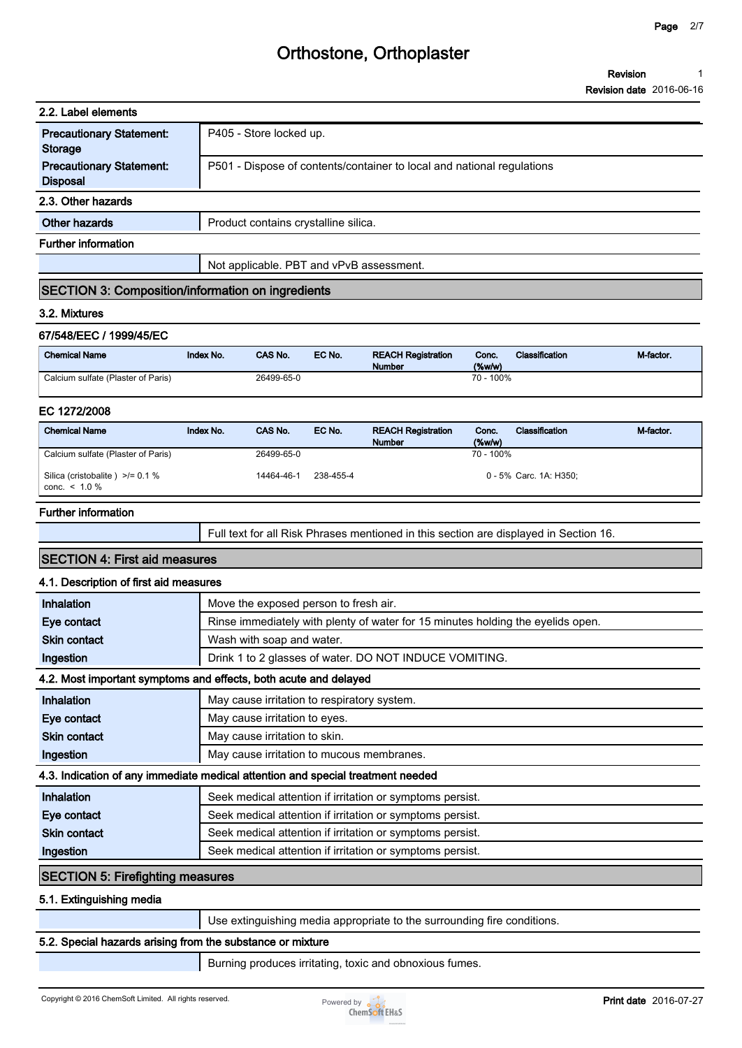| 2.2. Label elements                                |                                                                        |
|----------------------------------------------------|------------------------------------------------------------------------|
| <b>Precautionary Statement:</b><br>Storage         | P405 - Store locked up.                                                |
| <b>Precautionary Statement:</b><br><b>Disposal</b> | P501 - Dispose of contents/container to local and national regulations |
| 2.3. Other hazards                                 |                                                                        |
| Other hazards                                      | Product contains crystalline silica.                                   |
| <b>Further information</b>                         |                                                                        |
|                                                    | Not applicable. PBT and vPvB assessment.                               |

#### **SECTION 3: Composition/information on ingredients**

#### **3.2. Mixtures**

#### **67/548/EEC / 1999/45/EC**

| <b>Chemical Name</b>               | Index No. | <b>CAS No.</b> | EC No. | <b>REACH Registration</b><br><b>Number</b> | Conc.<br>$(\%w/w)$ | <b>Classification</b> | M-factor. |
|------------------------------------|-----------|----------------|--------|--------------------------------------------|--------------------|-----------------------|-----------|
| Calcium sulfate (Plaster of Paris) |           | 26499-65-0     |        |                                            | 70 - 100%          |                       |           |

#### **EC 1272/2008**

| <b>Chemical Name</b>                                    | Index No. | <b>CAS No.</b> | EC No.    | <b>REACH Registration</b><br><b>Number</b> | Conc.<br>$(\%w/w)$ | Classification         | M-factor. |
|---------------------------------------------------------|-----------|----------------|-----------|--------------------------------------------|--------------------|------------------------|-----------|
| Calcium sulfate (Plaster of Paris)                      |           | 26499-65-0     |           |                                            | 70 - 100%          |                        |           |
| Silica (cristobalite) $\ge$ /= 0.1 %<br>conc. $< 1.0 %$ |           | 14464-46-1     | 238-455-4 |                                            |                    | 0 - 5% Carc. 1A: H350: |           |

#### **Further information**

|  | Full text for all Risk Phrases mentioned in this section are displayed in Section 16. |  |
|--|---------------------------------------------------------------------------------------|--|
|--|---------------------------------------------------------------------------------------|--|

#### **SECTION 4: First aid measures**

#### **4.1. Description of first aid measures**

| Inhalation                                                                      | Move the exposed person to fresh air.                                           |  |  |  |
|---------------------------------------------------------------------------------|---------------------------------------------------------------------------------|--|--|--|
| Eye contact                                                                     | Rinse immediately with plenty of water for 15 minutes holding the eyelids open. |  |  |  |
| <b>Skin contact</b>                                                             | Wash with soap and water.                                                       |  |  |  |
| Ingestion                                                                       | Drink 1 to 2 glasses of water. DO NOT INDUCE VOMITING.                          |  |  |  |
|                                                                                 | 4.2. Most important symptoms and effects, both acute and delayed                |  |  |  |
| <b>Inhalation</b>                                                               | May cause irritation to respiratory system.                                     |  |  |  |
| Eye contact                                                                     | May cause irritation to eyes.                                                   |  |  |  |
| <b>Skin contact</b>                                                             | May cause irritation to skin.                                                   |  |  |  |
| Ingestion                                                                       | May cause irritation to mucous membranes.                                       |  |  |  |
| 4.3. Indication of any immediate medical attention and special treatment needed |                                                                                 |  |  |  |
| Inhalation                                                                      | Seek medical attention if irritation or symptoms persist.                       |  |  |  |
| Eye contact                                                                     | Seek medical attention if irritation or symptoms persist.                       |  |  |  |
| <b>Skin contact</b>                                                             | Seek medical attention if irritation or symptoms persist.                       |  |  |  |
| Ingestion                                                                       | Seek medical attention if irritation or symptoms persist.                       |  |  |  |
| <b>SECTION 5: Firefighting measures</b>                                         |                                                                                 |  |  |  |
| 5.1. Extinguishing media                                                        |                                                                                 |  |  |  |
|                                                                                 |                                                                                 |  |  |  |

**Use extinguishing media appropriate to the surrounding fire conditions.**

#### **5.2. Special hazards arising from the substance or mixture**

**Burning produces irritating, toxic and obnoxious fumes.**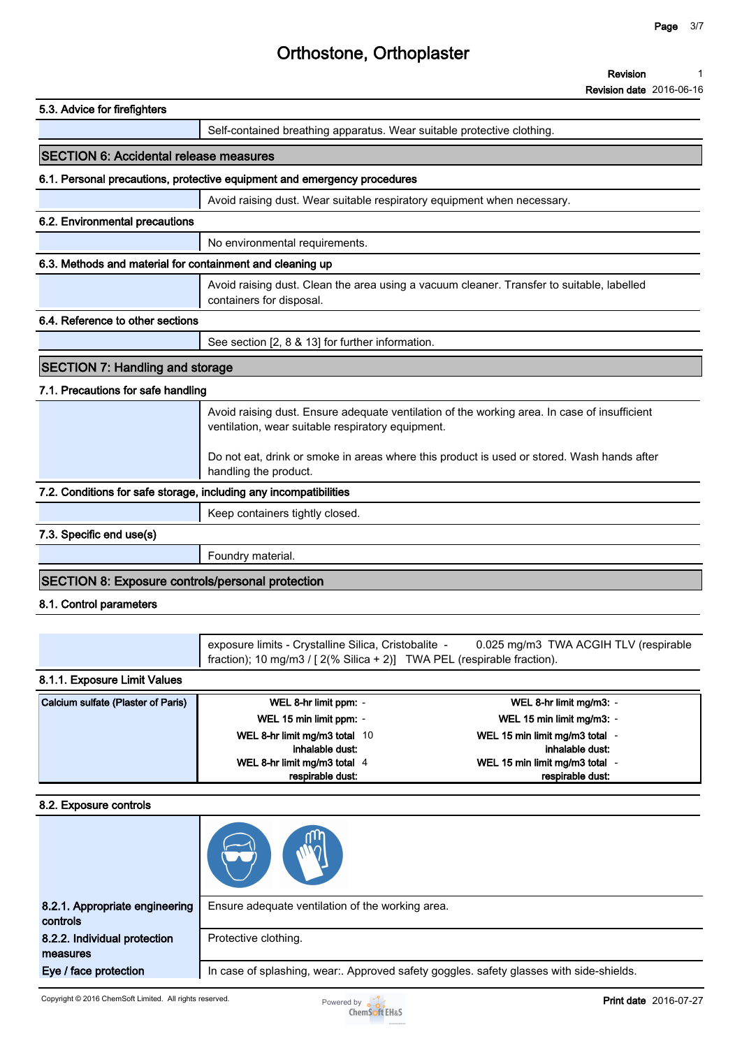#### **Revision** 1 **1**

|                                                                   |                                                                                                                                   | <b>Revision date</b> 2016-06-16                                                                                                                                                            |
|-------------------------------------------------------------------|-----------------------------------------------------------------------------------------------------------------------------------|--------------------------------------------------------------------------------------------------------------------------------------------------------------------------------------------|
| 5.3. Advice for firefighters                                      |                                                                                                                                   |                                                                                                                                                                                            |
|                                                                   | Self-contained breathing apparatus. Wear suitable protective clothing.                                                            |                                                                                                                                                                                            |
| <b>SECTION 6: Accidental release measures</b>                     |                                                                                                                                   |                                                                                                                                                                                            |
|                                                                   | 6.1. Personal precautions, protective equipment and emergency procedures                                                          |                                                                                                                                                                                            |
|                                                                   | Avoid raising dust. Wear suitable respiratory equipment when necessary.                                                           |                                                                                                                                                                                            |
| 6.2. Environmental precautions                                    |                                                                                                                                   |                                                                                                                                                                                            |
|                                                                   | No environmental requirements.                                                                                                    |                                                                                                                                                                                            |
| 6.3. Methods and material for containment and cleaning up         |                                                                                                                                   |                                                                                                                                                                                            |
|                                                                   | containers for disposal.                                                                                                          | Avoid raising dust. Clean the area using a vacuum cleaner. Transfer to suitable, labelled                                                                                                  |
| 6.4. Reference to other sections                                  |                                                                                                                                   |                                                                                                                                                                                            |
|                                                                   | See section [2, 8 & 13] for further information.                                                                                  |                                                                                                                                                                                            |
| <b>SECTION 7: Handling and storage</b>                            |                                                                                                                                   |                                                                                                                                                                                            |
| 7.1. Precautions for safe handling                                |                                                                                                                                   |                                                                                                                                                                                            |
|                                                                   | ventilation, wear suitable respiratory equipment.<br>handling the product.                                                        | Avoid raising dust. Ensure adequate ventilation of the working area. In case of insufficient<br>Do not eat, drink or smoke in areas where this product is used or stored. Wash hands after |
| 7.2. Conditions for safe storage, including any incompatibilities |                                                                                                                                   |                                                                                                                                                                                            |
|                                                                   | Keep containers tightly closed.                                                                                                   |                                                                                                                                                                                            |
| 7.3. Specific end use(s)                                          |                                                                                                                                   |                                                                                                                                                                                            |
|                                                                   | Foundry material.                                                                                                                 |                                                                                                                                                                                            |
| <b>SECTION 8: Exposure controls/personal protection</b>           |                                                                                                                                   |                                                                                                                                                                                            |
|                                                                   |                                                                                                                                   |                                                                                                                                                                                            |
| 8.1. Control parameters                                           |                                                                                                                                   |                                                                                                                                                                                            |
|                                                                   | exposure limits - Crystalline Silica, Cristobalite -<br>fraction); 10 mg/m3 / $[2(\% Silica + 2)]$ TWA PEL (respirable fraction). | 0.025 mg/m3 TWA ACGIH TLV (respirable                                                                                                                                                      |
| 8.1.1. Exposure Limit Values                                      |                                                                                                                                   |                                                                                                                                                                                            |
| Calcium sulfate (Plaster of Paris)                                | WEL 8-hr limit ppm: -                                                                                                             | WEL 8-hr limit mg/m3: -                                                                                                                                                                    |
|                                                                   | WEL 15 min limit ppm: -                                                                                                           | WEL 15 min limit mg/m3: -                                                                                                                                                                  |
|                                                                   | WEL 8-hr limit mg/m3 total 10                                                                                                     | WEL 15 min limit mg/m3 total -                                                                                                                                                             |
|                                                                   | inhalable dust:                                                                                                                   | inhalable dust:                                                                                                                                                                            |
|                                                                   | WEL 8-hr limit mg/m3 total 4                                                                                                      | WEL 15 min limit mg/m3 total -                                                                                                                                                             |

#### **8.2. Exposure controls**

| 8.2.1. Appropriate engineering<br>controls | Ensure adequate ventilation of the working area.                                        |
|--------------------------------------------|-----------------------------------------------------------------------------------------|
| 8.2.2. Individual protection<br>measures   | Protective clothing.                                                                    |
| Eye / face protection                      | In case of splashing, wear:. Approved safety goggles. safety glasses with side-shields. |

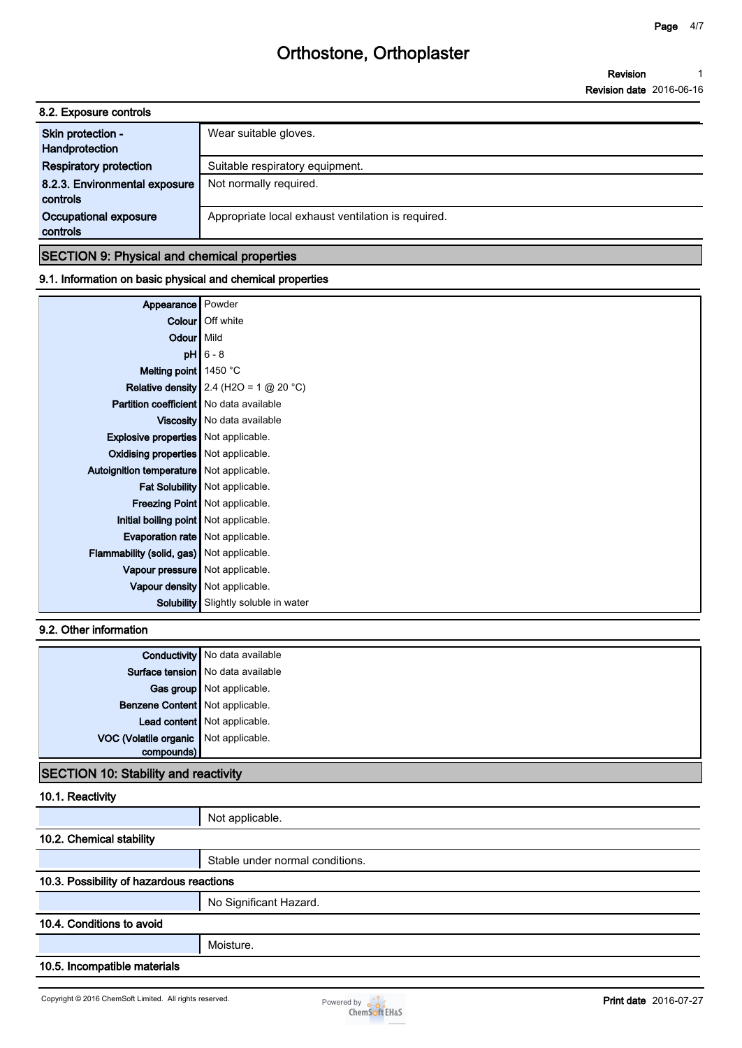**Revision Revision date 2016-06-16 1**

| 8.2. Exposure controls                    |                                                    |
|-------------------------------------------|----------------------------------------------------|
| Skin protection -<br>Handprotection       | Wear suitable gloves.                              |
| <b>Respiratory protection</b>             | Suitable respiratory equipment.                    |
| 8.2.3. Environmental exposure<br>controls | Not normally required.                             |
| Occupational exposure<br>controls         | Appropriate local exhaust ventilation is required. |
|                                           |                                                    |

#### **SECTION 9: Physical and chemical properties**

#### **9.1. Information on basic physical and chemical properties**

| Appearance Powder                              |                                          |
|------------------------------------------------|------------------------------------------|
|                                                | <b>Colour</b> Off white                  |
| Odour Mild                                     |                                          |
|                                                | $pH$ 6 - 8                               |
| Melting point $1450 °C$                        |                                          |
|                                                | Relative density 2.4 (H2O = 1 $@$ 20 °C) |
| <b>Partition coefficient</b> No data available |                                          |
|                                                | Viscosity   No data available            |
| <b>Explosive properties</b> Not applicable.    |                                          |
| Oxidising properties   Not applicable.         |                                          |
| Autoignition temperature   Not applicable.     |                                          |
|                                                | Fat Solubility   Not applicable.         |
|                                                | Freezing Point   Not applicable.         |
| Initial boiling point   Not applicable.        |                                          |
| Evaporation rate   Not applicable.             |                                          |
| Flammability (solid, gas) Not applicable.      |                                          |
| Vapour pressure   Not applicable.              |                                          |
|                                                | Vapour density   Not applicable.         |
| Solubility                                     | Slightly soluble in water                |

### **9.2. Other information**

|                                       | <b>Conductivity</b> No data available |
|---------------------------------------|---------------------------------------|
|                                       | Surface tension   No data available   |
|                                       | Gas group Not applicable.             |
| Benzene Content   Not applicable.     |                                       |
|                                       | Lead content Not applicable.          |
| VOC (Volatile organic Not applicable. |                                       |
| compounds)                            |                                       |
|                                       |                                       |

#### **SECTION 10: Stability and reactivity**

#### **10.1. Reactivity**

|                              | Not applicable.                          |  |  |
|------------------------------|------------------------------------------|--|--|
| 10.2. Chemical stability     |                                          |  |  |
|                              | Stable under normal conditions.          |  |  |
|                              | 10.3. Possibility of hazardous reactions |  |  |
|                              | No Significant Hazard.                   |  |  |
| 10.4. Conditions to avoid    |                                          |  |  |
|                              | Moisture.                                |  |  |
| 10.5. Incompatible materials |                                          |  |  |

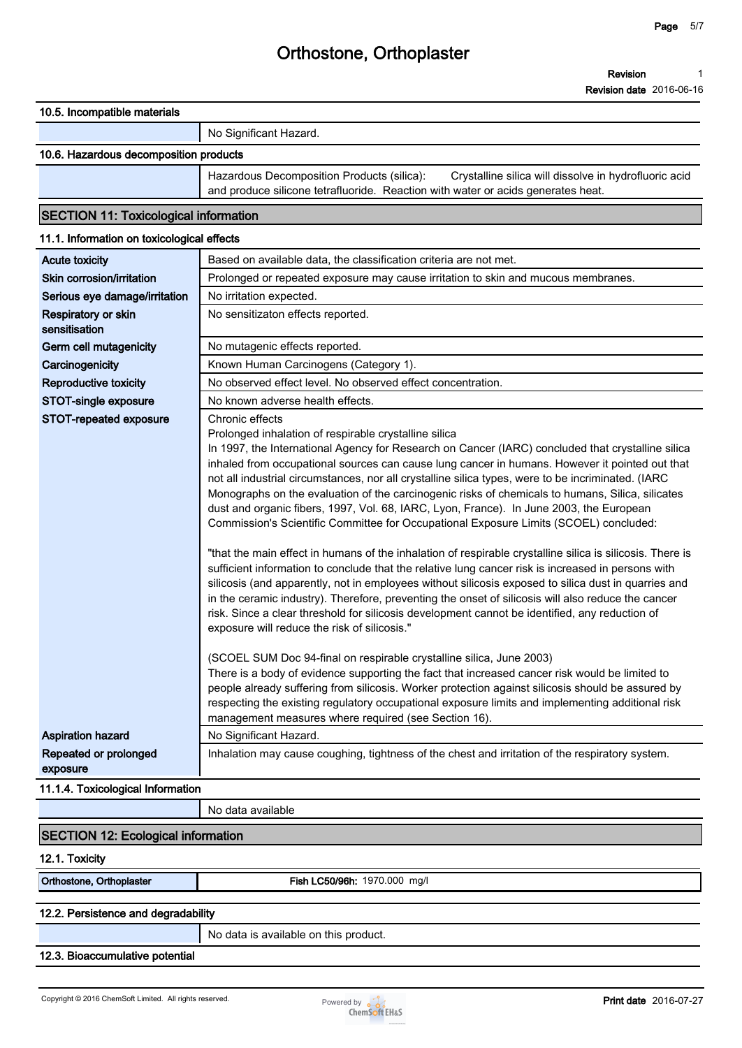#### **10.5. Incompatible materials**

| No Significant Hazard. |
|------------------------|
|                        |

#### **10.6. Hazardous decomposition products**

**Hazardous Decomposition Products (silica): Crystalline silica will dissolve in hydrofluoric acid and produce silicone tetrafluoride. Reaction with water or acids generates heat.**

#### **SECTION 11: Toxicological information**

#### **11.1. Information on toxicological effects**

| <b>Acute toxicity</b>                | Based on available data, the classification criteria are not met.                                                                                                                                                                                                                                                                                                                                                                                                                                                                                                                                                                                                                                                                                                                                                                                                                                                                                                                                                                                                                                                                                                                                                                                                |
|--------------------------------------|------------------------------------------------------------------------------------------------------------------------------------------------------------------------------------------------------------------------------------------------------------------------------------------------------------------------------------------------------------------------------------------------------------------------------------------------------------------------------------------------------------------------------------------------------------------------------------------------------------------------------------------------------------------------------------------------------------------------------------------------------------------------------------------------------------------------------------------------------------------------------------------------------------------------------------------------------------------------------------------------------------------------------------------------------------------------------------------------------------------------------------------------------------------------------------------------------------------------------------------------------------------|
| Skin corrosion/irritation            | Prolonged or repeated exposure may cause irritation to skin and mucous membranes.                                                                                                                                                                                                                                                                                                                                                                                                                                                                                                                                                                                                                                                                                                                                                                                                                                                                                                                                                                                                                                                                                                                                                                                |
| Serious eye damage/irritation        | No irritation expected.                                                                                                                                                                                                                                                                                                                                                                                                                                                                                                                                                                                                                                                                                                                                                                                                                                                                                                                                                                                                                                                                                                                                                                                                                                          |
| Respiratory or skin<br>sensitisation | No sensitizaton effects reported.                                                                                                                                                                                                                                                                                                                                                                                                                                                                                                                                                                                                                                                                                                                                                                                                                                                                                                                                                                                                                                                                                                                                                                                                                                |
| Germ cell mutagenicity               | No mutagenic effects reported.                                                                                                                                                                                                                                                                                                                                                                                                                                                                                                                                                                                                                                                                                                                                                                                                                                                                                                                                                                                                                                                                                                                                                                                                                                   |
| Carcinogenicity                      | Known Human Carcinogens (Category 1).                                                                                                                                                                                                                                                                                                                                                                                                                                                                                                                                                                                                                                                                                                                                                                                                                                                                                                                                                                                                                                                                                                                                                                                                                            |
| Reproductive toxicity                | No observed effect level. No observed effect concentration.                                                                                                                                                                                                                                                                                                                                                                                                                                                                                                                                                                                                                                                                                                                                                                                                                                                                                                                                                                                                                                                                                                                                                                                                      |
| STOT-single exposure                 | No known adverse health effects.                                                                                                                                                                                                                                                                                                                                                                                                                                                                                                                                                                                                                                                                                                                                                                                                                                                                                                                                                                                                                                                                                                                                                                                                                                 |
| STOT-repeated exposure               | Chronic effects<br>Prolonged inhalation of respirable crystalline silica<br>In 1997, the International Agency for Research on Cancer (IARC) concluded that crystalline silica<br>inhaled from occupational sources can cause lung cancer in humans. However it pointed out that<br>not all industrial circumstances, nor all crystalline silica types, were to be incriminated. (IARC<br>Monographs on the evaluation of the carcinogenic risks of chemicals to humans, Silica, silicates<br>dust and organic fibers, 1997, Vol. 68, IARC, Lyon, France). In June 2003, the European<br>Commission's Scientific Committee for Occupational Exposure Limits (SCOEL) concluded:<br>"that the main effect in humans of the inhalation of respirable crystalline silica is silicosis. There is<br>sufficient information to conclude that the relative lung cancer risk is increased in persons with<br>silicosis (and apparently, not in employees without silicosis exposed to silica dust in quarries and<br>in the ceramic industry). Therefore, preventing the onset of silicosis will also reduce the cancer<br>risk. Since a clear threshold for silicosis development cannot be identified, any reduction of<br>exposure will reduce the risk of silicosis." |
|                                      | (SCOEL SUM Doc 94-final on respirable crystalline silica, June 2003)<br>There is a body of evidence supporting the fact that increased cancer risk would be limited to<br>people already suffering from silicosis. Worker protection against silicosis should be assured by<br>respecting the existing regulatory occupational exposure limits and implementing additional risk<br>management measures where required (see Section 16).                                                                                                                                                                                                                                                                                                                                                                                                                                                                                                                                                                                                                                                                                                                                                                                                                          |
| <b>Aspiration hazard</b>             | No Significant Hazard.                                                                                                                                                                                                                                                                                                                                                                                                                                                                                                                                                                                                                                                                                                                                                                                                                                                                                                                                                                                                                                                                                                                                                                                                                                           |
| Repeated or prolonged<br>exposure    | Inhalation may cause coughing, tightness of the chest and irritation of the respiratory system.                                                                                                                                                                                                                                                                                                                                                                                                                                                                                                                                                                                                                                                                                                                                                                                                                                                                                                                                                                                                                                                                                                                                                                  |
| 11.1.4. Toxicological Information    |                                                                                                                                                                                                                                                                                                                                                                                                                                                                                                                                                                                                                                                                                                                                                                                                                                                                                                                                                                                                                                                                                                                                                                                                                                                                  |
|                                      | No data available                                                                                                                                                                                                                                                                                                                                                                                                                                                                                                                                                                                                                                                                                                                                                                                                                                                                                                                                                                                                                                                                                                                                                                                                                                                |
|                                      |                                                                                                                                                                                                                                                                                                                                                                                                                                                                                                                                                                                                                                                                                                                                                                                                                                                                                                                                                                                                                                                                                                                                                                                                                                                                  |

#### **SECTION 12: Ecological information**

#### **12.1. Toxicity**

**Orthostone, Orthoplaster Fish LC50/96h: 1970.000 mg/l**

#### **12.2. Persistence and degradability**

**No data is available on this product.**

#### **12.3. Bioaccumulative potential**

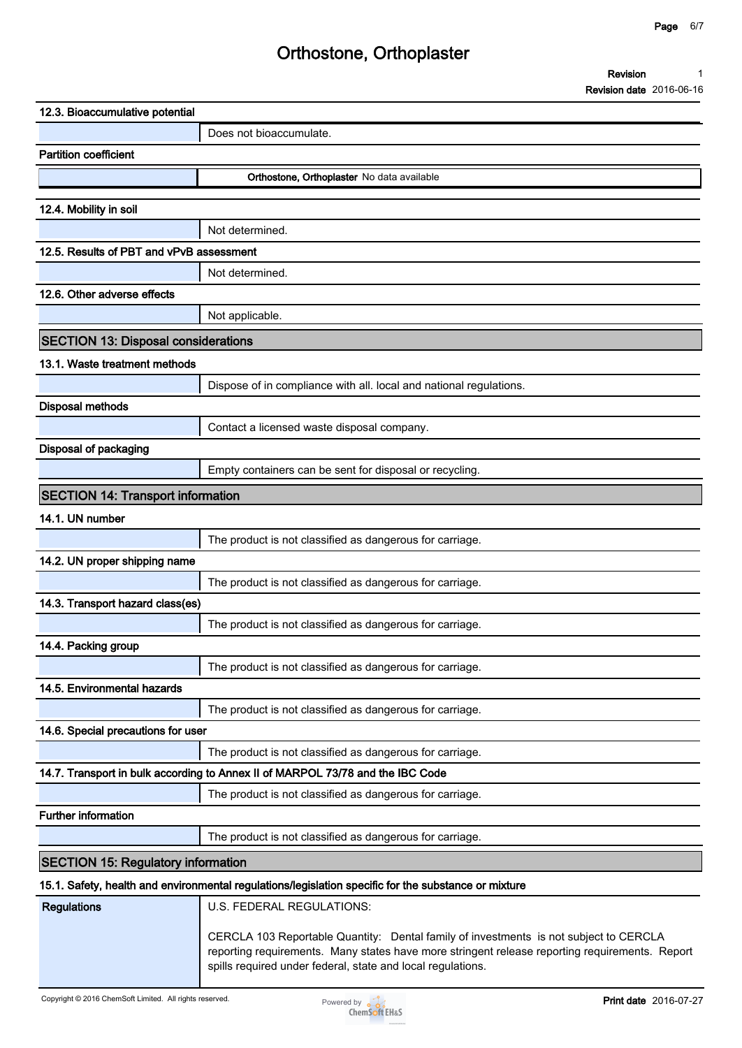| Revision                        |  |
|---------------------------------|--|
| <b>Revision date 2016-06-16</b> |  |

| 12.3. Bioaccumulative potential            |                                                                                                                                                                                                                                                        |
|--------------------------------------------|--------------------------------------------------------------------------------------------------------------------------------------------------------------------------------------------------------------------------------------------------------|
|                                            | Does not bioaccumulate.                                                                                                                                                                                                                                |
| <b>Partition coefficient</b>               |                                                                                                                                                                                                                                                        |
|                                            | Orthostone, Orthoplaster No data available                                                                                                                                                                                                             |
|                                            |                                                                                                                                                                                                                                                        |
| 12.4. Mobility in soil                     |                                                                                                                                                                                                                                                        |
| 12.5. Results of PBT and vPvB assessment   | Not determined.                                                                                                                                                                                                                                        |
|                                            |                                                                                                                                                                                                                                                        |
| 12.6. Other adverse effects                | Not determined.                                                                                                                                                                                                                                        |
|                                            |                                                                                                                                                                                                                                                        |
|                                            | Not applicable.                                                                                                                                                                                                                                        |
| <b>SECTION 13: Disposal considerations</b> |                                                                                                                                                                                                                                                        |
| 13.1. Waste treatment methods              |                                                                                                                                                                                                                                                        |
|                                            | Dispose of in compliance with all. local and national regulations.                                                                                                                                                                                     |
| <b>Disposal methods</b>                    |                                                                                                                                                                                                                                                        |
|                                            | Contact a licensed waste disposal company.                                                                                                                                                                                                             |
| <b>Disposal of packaging</b>               |                                                                                                                                                                                                                                                        |
|                                            | Empty containers can be sent for disposal or recycling.                                                                                                                                                                                                |
| <b>SECTION 14: Transport information</b>   |                                                                                                                                                                                                                                                        |
| 14.1. UN number                            |                                                                                                                                                                                                                                                        |
|                                            | The product is not classified as dangerous for carriage.                                                                                                                                                                                               |
| 14.2. UN proper shipping name              |                                                                                                                                                                                                                                                        |
|                                            | The product is not classified as dangerous for carriage.                                                                                                                                                                                               |
| 14.3. Transport hazard class(es)           |                                                                                                                                                                                                                                                        |
|                                            | The product is not classified as dangerous for carriage.                                                                                                                                                                                               |
| 14.4. Packing group                        |                                                                                                                                                                                                                                                        |
|                                            | The product is not classified as dangerous for carriage.                                                                                                                                                                                               |
| 14.5. Environmental hazards                |                                                                                                                                                                                                                                                        |
|                                            | The product is not classified as dangerous for carriage.                                                                                                                                                                                               |
| 14.6. Special precautions for user         |                                                                                                                                                                                                                                                        |
|                                            | The product is not classified as dangerous for carriage.                                                                                                                                                                                               |
|                                            | 14.7. Transport in bulk according to Annex II of MARPOL 73/78 and the IBC Code                                                                                                                                                                         |
|                                            | The product is not classified as dangerous for carriage.                                                                                                                                                                                               |
| <b>Further information</b>                 |                                                                                                                                                                                                                                                        |
|                                            | The product is not classified as dangerous for carriage.                                                                                                                                                                                               |
| <b>SECTION 15: Regulatory information</b>  |                                                                                                                                                                                                                                                        |
|                                            | 15.1. Safety, health and environmental regulations/legislation specific for the substance or mixture                                                                                                                                                   |
| <b>Regulations</b>                         | U.S. FEDERAL REGULATIONS:                                                                                                                                                                                                                              |
|                                            | CERCLA 103 Reportable Quantity: Dental family of investments is not subject to CERCLA<br>reporting requirements. Many states have more stringent release reporting requirements. Report<br>spills required under federal, state and local regulations. |